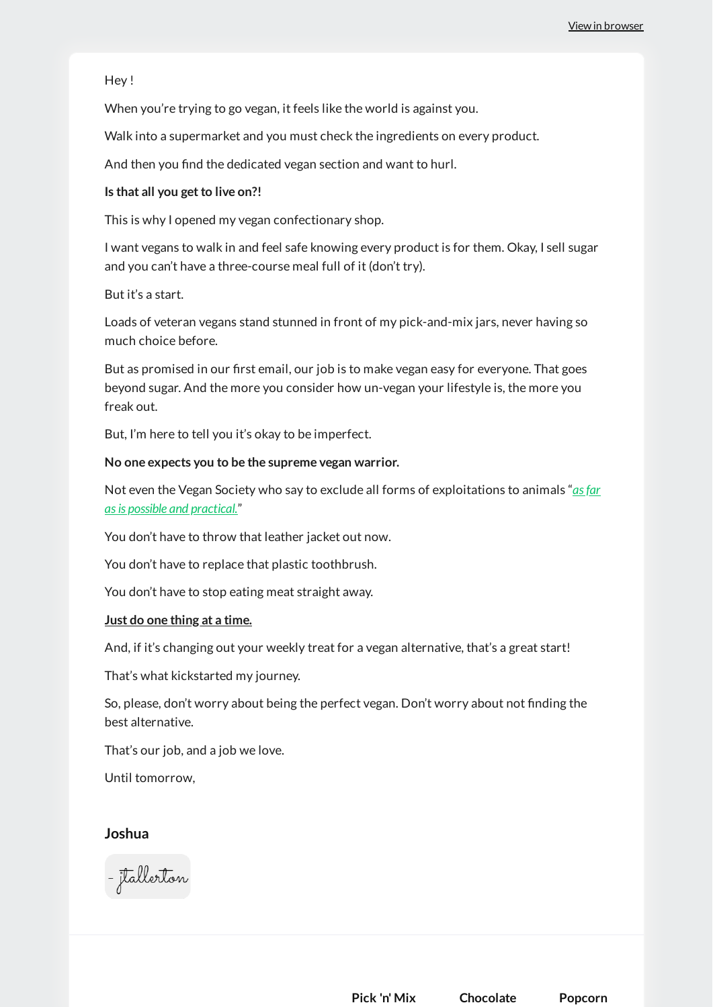Hey !

When you're trying to go vegan, it feels like the world is against you.

Walk into a supermarket and you must check the ingredients on every product.

And then you find the dedicated vegan section and want to hurl.

## **ls** that all you get to live on?!

This is why I opened my vegan confectionary shop.

I want vegans to walk in and feel safe knowing every product is for them. Okay, I sell sugar and you can't have a three-course meal full of it (don't try).

But it's a start.

Loads of veteran vegans stand stunned in front of my pick-and-mix jars, never having so much choice before.

But as promised in our first email, our job is to make vegan easy for everyone. That goes beyond sugar. And the more you consider how un-vegan your lifestyle is, the more you freak out.

But, I'm here to tell you it's okay to be imperfect.

## **No one expects you to be the supreme vegan warrior.**

Not even the Vegan Society who say to exclude all forms of [exploitations](https://www.vegansociety.com/go-vegan/definition-veganism?utm_source=newsletter&utm_medium=email&utm_campaign=no_one_expects_you_to_be_the_supreme_vegan_warrior&utm_term=2022-03-27) to animals "*asfar asis possible and practical.*"

You don't have to throw that leather jacket out now.

You don't have to replace that plastic toothbrush.

You don't have to stop eating meat straight away.

## **Just do one thing at a time.**

And, if it's changing out your weekly treat for a vegan alternative, that's a great start!

That's what kickstarted my journey.

So, please, don't worry about being the perfect vegan. Don't worry about not finding the best alternative.

That's our job, and a job we love.

Until tomorrow,

**Joshua**

- jtallerton